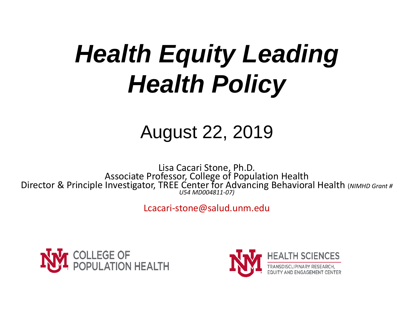# *Health Equity Leading Health Policy*

### August 22, 2019

Lisa Cacari Stone, Ph.D. Associate Professor, College of Population Health Director & Principle Investigator, TREE Center for Advancing Behavioral Health (*NIMHD Grant # U54 MD004811-07)*

Lcacari-stone@salud.unm.edu



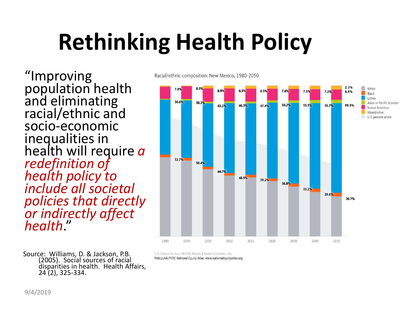# **Rethinking Health Policy**

"Improving population health and eliminating racial/ethnic and socio-economic inequalities in health will require *a redefinition of health policy to include all societal policies that directly or indirectly affect health*."

Racial/ethnic composition: New Mexico, 1980-2050



Source: Williams, D. & Jackson, P.B. (2005). Social sources of racial disparities in health. Health Affairs, 24 (2), 325-334.

U.S. Census Bureau; NHGIS; Woods & Poole Economics, Inc. PolicyLink/PERE National Equity Atlas, www.nationalequityatlas.org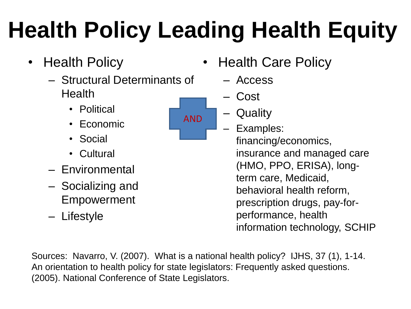# **Health Policy Leading Health Equity**

AND

- Health Policy
	- Structural Determinants of **Health** 
		- Political
		- Economic
		- Social
		- Cultural
	- Environmental
	- Socializing and Empowerment
	- Lifestyle
- Health Care Policy
	- Access
	- Cost
	- Quality
		- Examples: financing/economics, insurance and managed care (HMO, PPO, ERISA), longterm care, Medicaid, behavioral health reform, prescription drugs, pay-forperformance, health information technology, SCHIP

Sources: Navarro, V. (2007). What is a national health policy? IJHS, 37 (1), 1-14. An orientation to health policy for state legislators: Frequently asked questions. (2005). National Conference of State Legislators.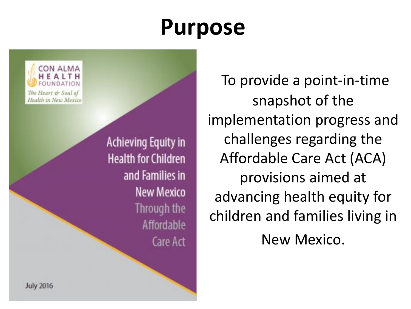### **Purpose**

CON ALMA The Heart & Soul of Health in New Mexico

> **Achieving Equity in Health for Children** and Families in **New Mexico** Through the **Affordable** Care Act

To provide a point-in-time snapshot of the implementation progress and challenges regarding the Affordable Care Act (ACA) provisions aimed at advancing health equity for children and families living in New Mexico.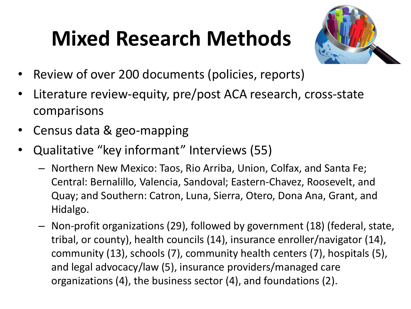## **Mixed Research Methods**



- Review of over 200 documents (policies, reports)
- Literature review-equity, pre/post ACA research, cross-state comparisons
- Census data & geo-mapping
- Qualitative "key informant" Interviews (55)
	- Northern New Mexico: Taos, Rio Arriba, Union, Colfax, and Santa Fe; Central: Bernalillo, Valencia, Sandoval; Eastern-Chavez, Roosevelt, and Quay; and Southern: Catron, Luna, Sierra, Otero, Dona Ana, Grant, and Hidalgo.
	- Non-profit organizations (29), followed by government (18) (federal, state, tribal, or county), health councils (14), insurance enroller/navigator (14), community (13), schools (7), community health centers (7), hospitals (5), and legal advocacy/law (5), insurance providers/managed care organizations (4), the business sector (4), and foundations (2).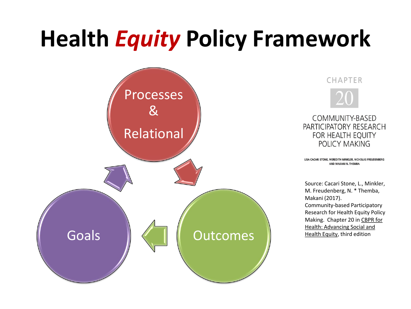## **Health** *Equity* **Policy Framework**



CHAPTER



COMMUNITY-BASED PARTICIPATORY RESEARCH **FOR HEALTH EQUITY** POLICY MAKING

LISA CACARI STONE, MEREDITH MINKLER, NICHOLAS FREUDENBERG AND MAKANI N. THEMBA

Source: Cacari Stone, L., Minkler, M. Freudenberg, N. \* Themba, Makani (2017). Community-based Participatory Research for Health Equity Policy Making. Chapter 20 in CBPR for Health: Advancing Social and Health Equity, third edition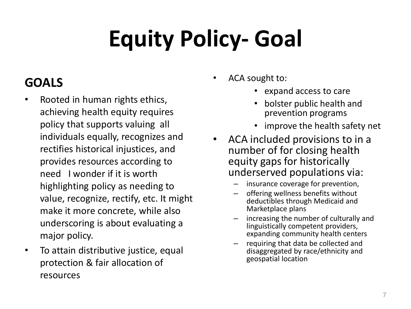# **Equity Policy- Goal**

#### **GOALS**

- Rooted in human rights ethics, achieving health equity requires policy that supports valuing all individuals equally, recognizes and rectifies historical injustices, and provides resources according to need I wonder if it is worth highlighting policy as needing to value, recognize, rectify, etc. It might make it more concrete, while also underscoring is about evaluating a major policy.
- To attain distributive justice, equal protection & fair allocation of resources
- ACA sought to:
	- expand access to care
	- bolster public health and prevention programs
	- improve the health safety net
- ACA included provisions to in a number of for closing health equity gaps for historically underserved populations via:
	- insurance coverage for prevention,
	- offering wellness benefits without deductibles through Medicaid and Marketplace plans
	- increasing the number of culturally and linguistically competent providers, expanding community health centers
	- requiring that data be collected and disaggregated by race/ethnicity and geospatial location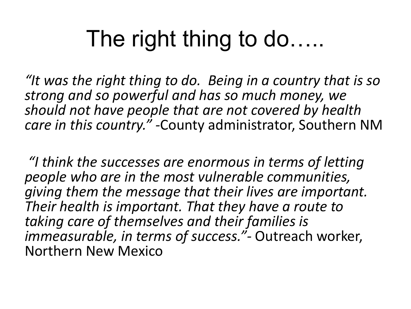## The right thing to do…..

*"It was the right thing to do. Being in a country that is so strong and so powerful and has so much money, we should not have people that are not covered by health care in this country." -*County administrator, Southern NM

*"I think the successes are enormous in terms of letting people who are in the most vulnerable communities, giving them the message that their lives are important. Their health is important. That they have a route to taking care of themselves and their families is immeasurable, in terms of success."-* Outreach worker, Northern New Mexico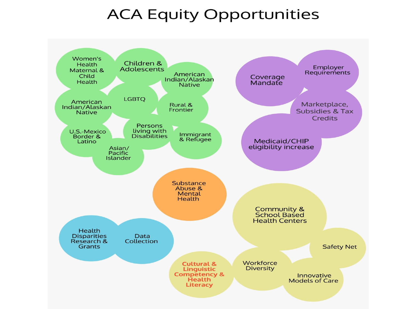#### **ACA Equity Opportunities**

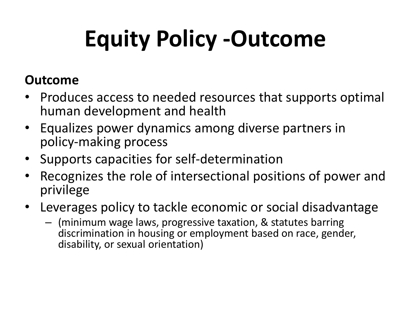# **Equity Policy -Outcome**

#### **Outcome**

- Produces access to needed resources that supports optimal human development and health
- Equalizes power dynamics among diverse partners in policy-making process
- Supports capacities for self-determination
- Recognizes the role of intersectional positions of power and privilege
- Leverages policy to tackle economic or social disadvantage
	- (minimum wage laws, progressive taxation, & statutes barring discrimination in housing or employment based on race, gender, disability, or sexual orientation)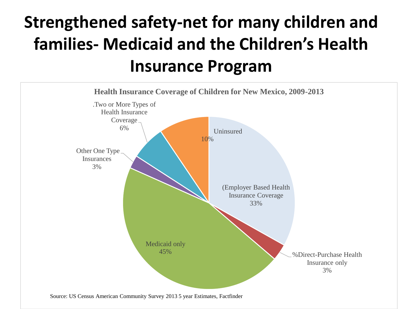### **Strengthened safety-net for many children and families- Medicaid and the Children's Health Insurance Program**

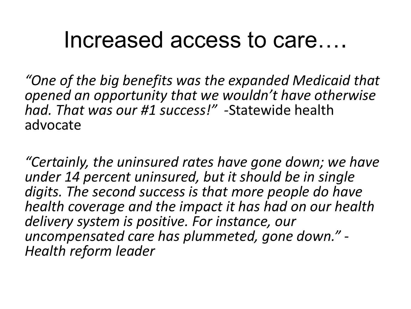### Increased access to care….

*"One of the big benefits was the expanded Medicaid that opened an opportunity that we wouldn't have otherwise had. That was our #1 success!" -*Statewide health advocate

*"Certainly, the uninsured rates have gone down; we have under 14 percent uninsured, but it should be in single digits. The second success is that more people do have health coverage and the impact it has had on our health delivery system is positive. For instance, our uncompensated care has plummeted, gone down." - Health reform leader*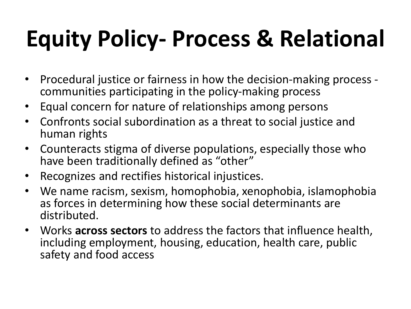# **Equity Policy- Process & Relational**

- Procedural justice or fairness in how the decision-making process communities participating in the policy-making process
- Equal concern for nature of relationships among persons
- Confronts social subordination as a threat to social justice and human rights
- Counteracts stigma of diverse populations, especially those who have been traditionally defined as "other"
- Recognizes and rectifies historical injustices.
- We name racism, sexism, homophobia, xenophobia, islamophobia as forces in determining how these social determinants are distributed.
- Works **across sectors** to address the factors that influence health, including employment, housing, education, health care, public safety and food access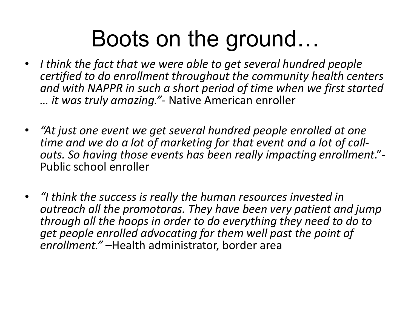### Boots on the ground…

- *I think the fact that we were able to get several hundred people certified to do enrollment throughout the community health centers and with NAPPR in such a short period of time when we first started … it was truly amazing."*- Native American enroller
- *"At just one event we get several hundred people enrolled at one time and we do a lot of marketing for that event and a lot of callouts. So having those events has been really impacting enrollment*."- Public school enroller
- *"I think the success is really the human resources invested in outreach all the promotoras. They have been very patient and jump through all the hoops in order to do everything they need to do to get people enrolled advocating for them well past the point of enrollment."* –Health administrator, border area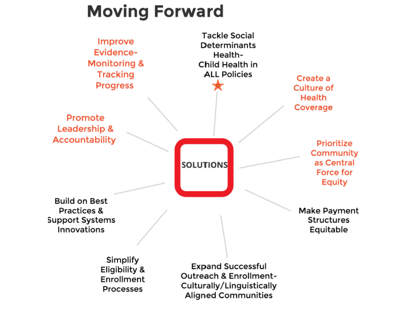### **Moving Forward**

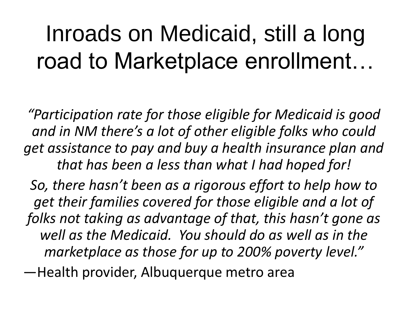## Inroads on Medicaid, still a long road to Marketplace enrollment…

*"Participation rate for those eligible for Medicaid is good and in NM there's a lot of other eligible folks who could get assistance to pay and buy a health insurance plan and that has been a less than what I had hoped for!* 

*So, there hasn't been as a rigorous effort to help how to get their families covered for those eligible and a lot of folks not taking as advantage of that, this hasn't gone as well as the Medicaid. You should do as well as in the marketplace as those for up to 200% poverty level."*

—Health provider, Albuquerque metro area